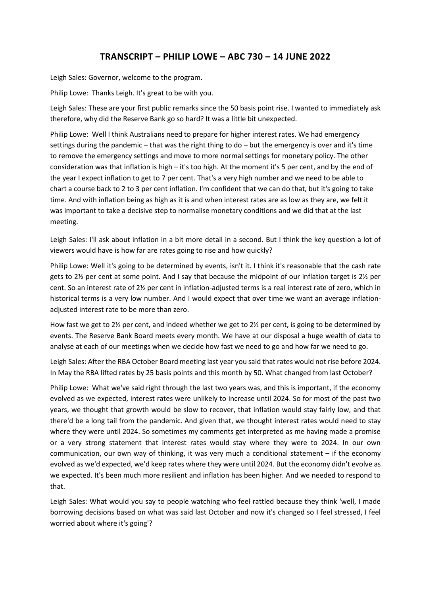## **TRANSCRIPT – PHILIP LOWE – ABC 730 – 14 JUNE 2022**

Leigh Sales: Governor, welcome to the program.

Philip Lowe: Thanks Leigh. It's great to be with you.

Leigh Sales: These are your first public remarks since the 50 basis point rise. I wanted to immediately ask therefore, why did the Reserve Bank go so hard? It was a little bit unexpected.

Philip Lowe: Well I think Australians need to prepare for higher interest rates. We had emergency settings during the pandemic – that was the right thing to do – but the emergency is over and it's time to remove the emergency settings and move to more normal settings for monetary policy. The other consideration was that inflation is high – it's too high. At the moment it's 5 per cent, and by the end of the year I expect inflation to get to 7 per cent. That's a very high number and we need to be able to chart a course back to 2 to 3 per cent inflation. I'm confident that we can do that, but it's going to take time. And with inflation being as high as it is and when interest rates are as low as they are, we felt it was important to take a decisive step to normalise monetary conditions and we did that at the last meeting.

Leigh Sales: I'll ask about inflation in a bit more detail in a second. But I think the key question a lot of viewers would have is how far are rates going to rise and how quickly?

Philip Lowe: Well it's going to be determined by events, isn't it. I think it's reasonable that the cash rate gets to 2½ per cent at some point. And I say that because the midpoint of our inflation target is 2½ per cent. So an interest rate of 2½ per cent in inflation-adjusted terms is a real interest rate of zero, which in historical terms is a very low number. And I would expect that over time we want an average inflationadjusted interest rate to be more than zero.

How fast we get to 2½ per cent, and indeed whether we get to 2½ per cent, is going to be determined by events. The Reserve Bank Board meets every month. We have at our disposal a huge wealth of data to analyse at each of our meetings when we decide how fast we need to go and how far we need to go.

Leigh Sales: After the RBA October Board meeting last year you said that rates would not rise before 2024. In May the RBA lifted rates by 25 basis points and this month by 50. What changed from last October?

Philip Lowe: What we've said right through the last two years was, and this is important, if the economy evolved as we expected, interest rates were unlikely to increase until 2024. So for most of the past two years, we thought that growth would be slow to recover, that inflation would stay fairly low, and that there'd be a long tail from the pandemic. And given that, we thought interest rates would need to stay where they were until 2024. So sometimes my comments get interpreted as me having made a promise or a very strong statement that interest rates would stay where they were to 2024. In our own communication, our own way of thinking, it was very much a conditional statement – if the economy evolved as we'd expected, we'd keep rates where they were until 2024. But the economy didn't evolve as we expected. It's been much more resilient and inflation has been higher. And we needed to respond to that.

Leigh Sales: What would you say to people watching who feel rattled because they think 'well, I made borrowing decisions based on what was said last October and now it's changed so I feel stressed, I feel worried about where it's going'?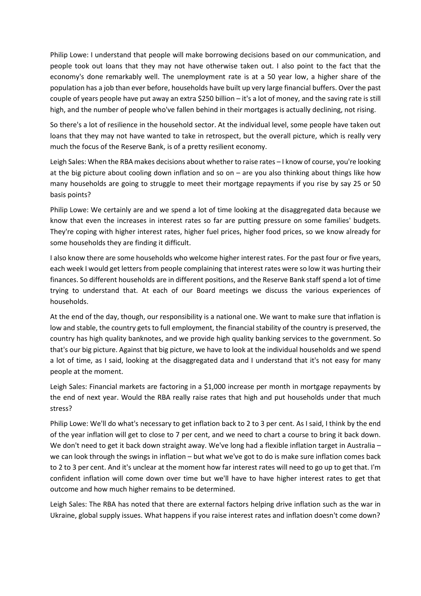Philip Lowe: I understand that people will make borrowing decisions based on our communication, and people took out loans that they may not have otherwise taken out. I also point to the fact that the economy's done remarkably well. The unemployment rate is at a 50 year low, a higher share of the population has a job than ever before, households have built up very large financial buffers. Over the past couple of years people have put away an extra \$250 billion – it's a lot of money, and the saving rate is still high, and the number of people who've fallen behind in their mortgages is actually declining, not rising.

So there's a lot of resilience in the household sector. At the individual level, some people have taken out loans that they may not have wanted to take in retrospect, but the overall picture, which is really very much the focus of the Reserve Bank, is of a pretty resilient economy.

Leigh Sales: When the RBA makes decisions about whether to raise rates – I know of course, you're looking at the big picture about cooling down inflation and so on – are you also thinking about things like how many households are going to struggle to meet their mortgage repayments if you rise by say 25 or 50 basis points?

Philip Lowe: We certainly are and we spend a lot of time looking at the disaggregated data because we know that even the increases in interest rates so far are putting pressure on some families' budgets. They're coping with higher interest rates, higher fuel prices, higher food prices, so we know already for some households they are finding it difficult.

I also know there are some households who welcome higher interest rates. For the past four or five years, each week I would get letters from people complaining that interest rates were so low it was hurting their finances. So different households are in different positions, and the Reserve Bank staff spend a lot of time trying to understand that. At each of our Board meetings we discuss the various experiences of households.

At the end of the day, though, our responsibility is a national one. We want to make sure that inflation is low and stable, the country gets to full employment, the financial stability of the country is preserved, the country has high quality banknotes, and we provide high quality banking services to the government. So that's our big picture. Against that big picture, we have to look at the individual households and we spend a lot of time, as I said, looking at the disaggregated data and I understand that it's not easy for many people at the moment.

Leigh Sales: Financial markets are factoring in a \$1,000 increase per month in mortgage repayments by the end of next year. Would the RBA really raise rates that high and put households under that much stress?

Philip Lowe: We'll do what's necessary to get inflation back to 2 to 3 per cent. As I said, I think by the end of the year inflation will get to close to 7 per cent, and we need to chart a course to bring it back down. We don't need to get it back down straight away. We've long had a flexible inflation target in Australia – we can look through the swings in inflation – but what we've got to do is make sure inflation comes back to 2 to 3 per cent. And it's unclear at the moment how far interest rates will need to go up to get that. I'm confident inflation will come down over time but we'll have to have higher interest rates to get that outcome and how much higher remains to be determined.

Leigh Sales: The RBA has noted that there are external factors helping drive inflation such as the war in Ukraine, global supply issues. What happens if you raise interest rates and inflation doesn't come down?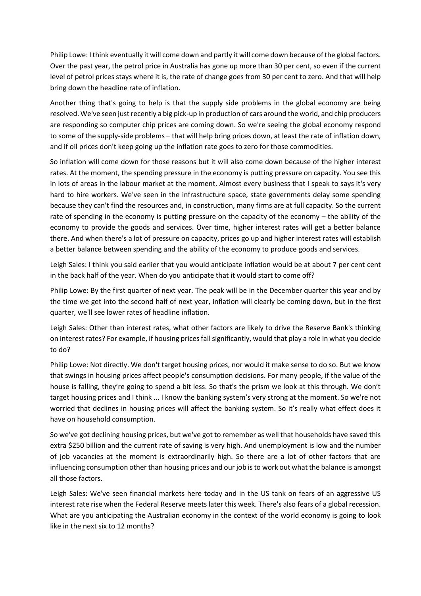Philip Lowe: I think eventually it will come down and partly it will come down because of the global factors. Over the past year, the petrol price in Australia has gone up more than 30 per cent, so even if the current level of petrol prices stays where it is, the rate of change goes from 30 per cent to zero. And that will help bring down the headline rate of inflation.

Another thing that's going to help is that the supply side problems in the global economy are being resolved. We've seen just recently a big pick-up in production of cars around the world, and chip producers are responding so computer chip prices are coming down. So we're seeing the global economy respond to some of the supply-side problems – that will help bring prices down, at least the rate of inflation down, and if oil prices don't keep going up the inflation rate goes to zero for those commodities.

So inflation will come down for those reasons but it will also come down because of the higher interest rates. At the moment, the spending pressure in the economy is putting pressure on capacity. You see this in lots of areas in the labour market at the moment. Almost every business that I speak to says it's very hard to hire workers. We've seen in the infrastructure space, state governments delay some spending because they can't find the resources and, in construction, many firms are at full capacity. So the current rate of spending in the economy is putting pressure on the capacity of the economy – the ability of the economy to provide the goods and services. Over time, higher interest rates will get a better balance there. And when there's a lot of pressure on capacity, prices go up and higher interest rates will establish a better balance between spending and the ability of the economy to produce goods and services.

Leigh Sales: I think you said earlier that you would anticipate inflation would be at about 7 per cent cent in the back half of the year. When do you anticipate that it would start to come off?

Philip Lowe: By the first quarter of next year. The peak will be in the December quarter this year and by the time we get into the second half of next year, inflation will clearly be coming down, but in the first quarter, we'll see lower rates of headline inflation.

Leigh Sales: Other than interest rates, what other factors are likely to drive the Reserve Bank's thinking on interest rates? For example, if housing prices fall significantly, would that play a role in what you decide to do?

Philip Lowe: Not directly. We don't target housing prices, nor would it make sense to do so. But we know that swings in housing prices affect people's consumption decisions. For many people, if the value of the house is falling, they're going to spend a bit less. So that's the prism we look at this through. We don't target housing prices and I think ... I know the banking system's very strong at the moment. So we're not worried that declines in housing prices will affect the banking system. So it's really what effect does it have on household consumption.

So we've got declining housing prices, but we've got to remember as well that households have saved this extra \$250 billion and the current rate of saving is very high. And unemployment is low and the number of job vacancies at the moment is extraordinarily high. So there are a lot of other factors that are influencing consumption other than housing prices and our job is to work out what the balance is amongst all those factors.

Leigh Sales: We've seen financial markets here today and in the US tank on fears of an aggressive US interest rate rise when the Federal Reserve meets later this week. There's also fears of a global recession. What are you anticipating the Australian economy in the context of the world economy is going to look like in the next six to 12 months?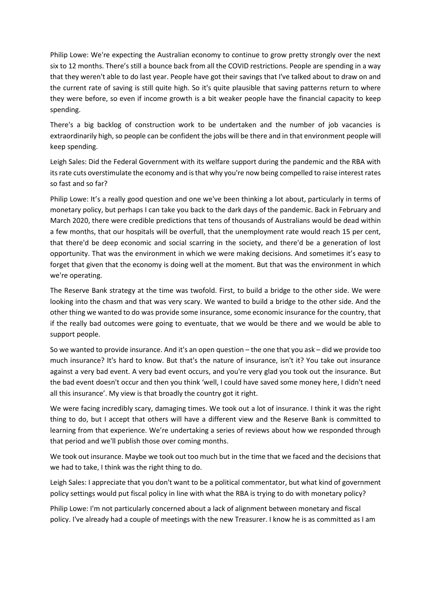Philip Lowe: We're expecting the Australian economy to continue to grow pretty strongly over the next six to 12 months. There's still a bounce back from all the COVID restrictions. People are spending in a way that they weren't able to do last year. People have got their savings that I've talked about to draw on and the current rate of saving is still quite high. So it's quite plausible that saving patterns return to where they were before, so even if income growth is a bit weaker people have the financial capacity to keep spending.

There's a big backlog of construction work to be undertaken and the number of job vacancies is extraordinarily high, so people can be confident the jobs will be there and in that environment people will keep spending.

Leigh Sales: Did the Federal Government with its welfare support during the pandemic and the RBA with its rate cuts overstimulate the economy and is that why you're now being compelled to raise interest rates so fast and so far?

Philip Lowe: It's a really good question and one we've been thinking a lot about, particularly in terms of monetary policy, but perhaps I can take you back to the dark days of the pandemic. Back in February and March 2020, there were credible predictions that tens of thousands of Australians would be dead within a few months, that our hospitals will be overfull, that the unemployment rate would reach 15 per cent, that there'd be deep economic and social scarring in the society, and there'd be a generation of lost opportunity. That was the environment in which we were making decisions. And sometimes it's easy to forget that given that the economy is doing well at the moment. But that was the environment in which we're operating.

The Reserve Bank strategy at the time was twofold. First, to build a bridge to the other side. We were looking into the chasm and that was very scary. We wanted to build a bridge to the other side. And the other thing we wanted to do was provide some insurance, some economic insurance for the country, that if the really bad outcomes were going to eventuate, that we would be there and we would be able to support people.

So we wanted to provide insurance. And it's an open question – the one that you ask – did we provide too much insurance? It's hard to know. But that's the nature of insurance, isn't it? You take out insurance against a very bad event. A very bad event occurs, and you're very glad you took out the insurance. But the bad event doesn't occur and then you think 'well, I could have saved some money here, I didn't need all this insurance'. My view is that broadly the country got it right.

We were facing incredibly scary, damaging times. We took out a lot of insurance. I think it was the right thing to do, but I accept that others will have a different view and the Reserve Bank is committed to learning from that experience. We're undertaking a series of reviews about how we responded through that period and we'll publish those over coming months.

We took out insurance. Maybe we took out too much but in the time that we faced and the decisions that we had to take, I think was the right thing to do.

Leigh Sales: I appreciate that you don't want to be a political commentator, but what kind of government policy settings would put fiscal policy in line with what the RBA is trying to do with monetary policy?

Philip Lowe: I'm not particularly concerned about a lack of alignment between monetary and fiscal policy. I've already had a couple of meetings with the new Treasurer. I know he is as committed as I am